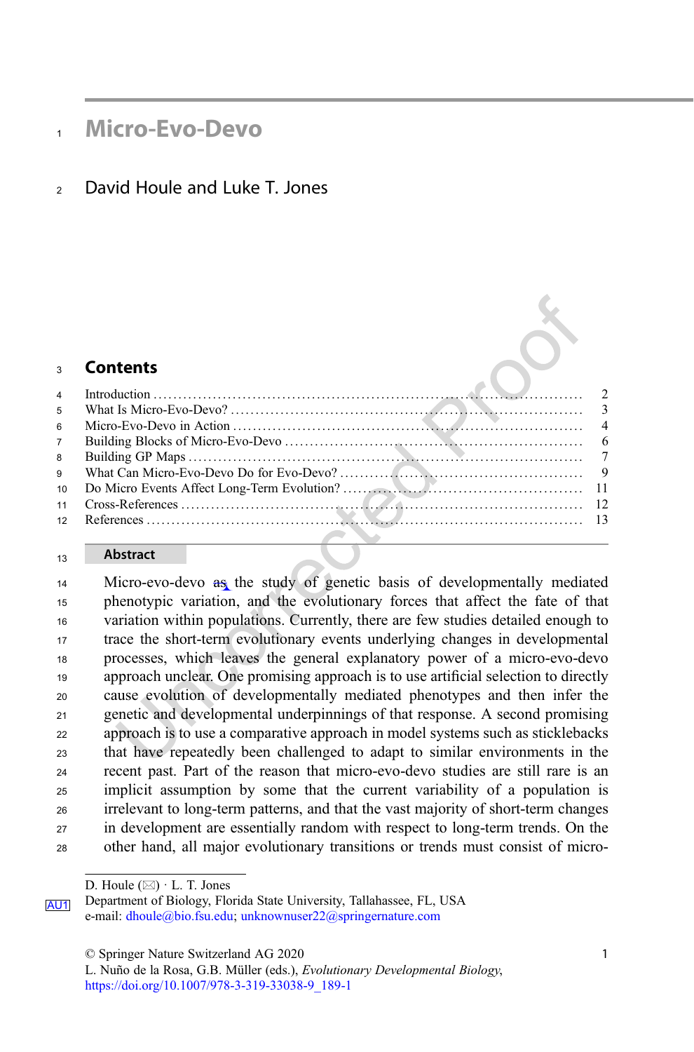# Micro-Evo-Devo

## David Houle and Luke T. Jones

## Contents

| $5^{\circ}$    |  |
|----------------|--|
| 6              |  |
| $\overline{7}$ |  |
| 8              |  |
| 9              |  |
|                |  |
|                |  |
|                |  |
|                |  |

#### Abstract

 Micro-evo-devo as the study of genetic basis of developmentally mediated phenotypic variation, and the evolutionary forces that affect the fate of that variation within populations. Currently, there are few studies detailed enough to trace the short-term evolutionary events underlying changes in developmental processes, which leaves the general explanatory power of a micro-evo-devo approach unclear. One promising approach is to use artificial selection to directly cause evolution of developmentally mediated phenotypes and then infer the genetic and developmental underpinnings of that response. A second promising approach is to use a comparative approach in model systems such as sticklebacks that have repeatedly been challenged to adapt to similar environments in the recent past. Part of the reason that micro-evo-devo studies are still rare is an implicit assumption by some that the current variability of a population is irrelevant to long-term patterns, and that the vast majority of short-term changes in development are essentially random with respect to long-term trends. On the other hand, all major evolutionary transitions or trends must consist of micro-

D. Houle  $(\boxtimes) \cdot$  L. T. Jones

[AU1](#page--1-0) Department of Biology, Florida State University, Tallahassee, FL, USA e-mail: [dhoule@bio.fsu.edu;](mailto:dhoule@bio.fsu.edu) [unknownuser22@springernature.com](mailto:unknownuser22@springernature.com)

<sup>©</sup> Springer Nature Switzerland AG 2020

L. Nuño de la Rosa, G.B. Müller (eds.), Evolutionary Developmental Biology, [https://doi.org/10.1007/978-3-319-33038-9\\_189-1](https://doi.org/10.1007/978-3-319-33038-9_189-1#DOI)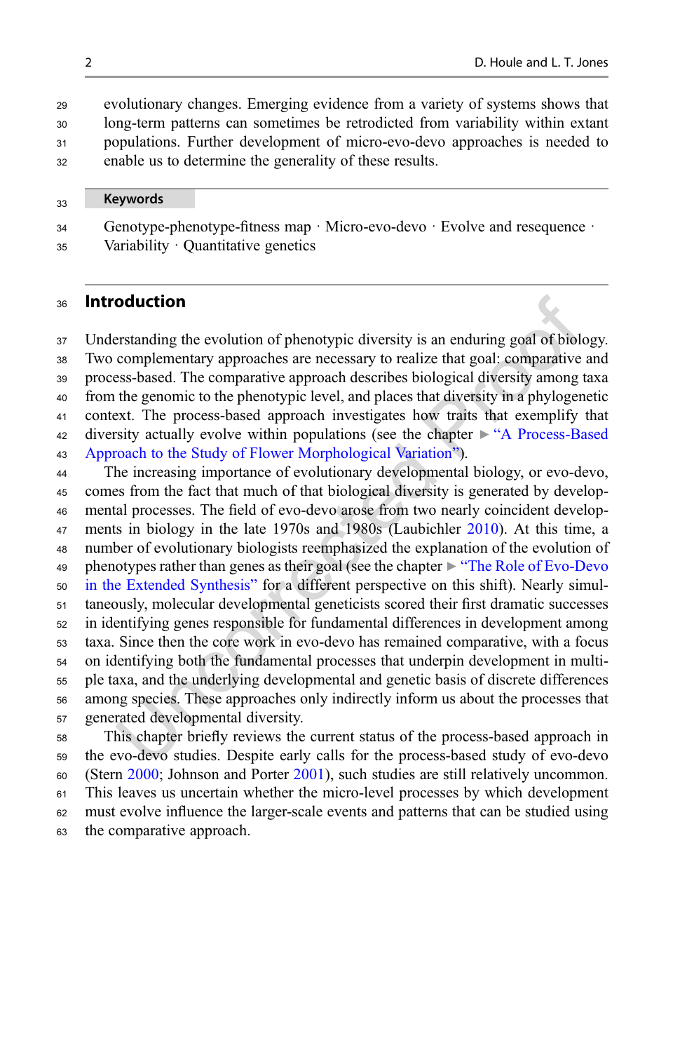| 29 | evolutionary changes. Emerging evidence from a variety of systems shows that   |
|----|--------------------------------------------------------------------------------|
| 30 | long-term patterns can sometimes be retrodicted from variability within extant |
| 31 | populations. Further development of micro-evo-devo approaches is needed to     |
| 32 | enable us to determine the generality of these results.                        |
|    |                                                                                |

| 33 | <b>Keywords</b> |                                                                                             |  |  |
|----|-----------------|---------------------------------------------------------------------------------------------|--|--|
| 34 |                 | Genotype-phenotype-fitness map $\cdot$ Micro-evo-devo $\cdot$ Evolve and resequence $\cdot$ |  |  |
| 35 |                 | Variability $\cdot$ Ouantitative genetics                                                   |  |  |

## 36 Introduction

 Understanding the evolution of phenotypic diversity is an enduring goal of biology. Two complementary approaches are necessary to realize that goal: comparative and process-based. The comparative approach describes biological diversity among taxa from the genomic to the phenotypic level, and places that diversity in a phylogenetic context. The process-based approach investigates how traits that exemplify that 42 diversity actually evolve within populations (see the chapter  $\triangleright$  "[A Process-Based](http://link.springer.com/search?facet-eisbn=978-3-319-33038-9&facet-content-type=ReferenceWorkEntry&query=A Process-Based Approach to the Study of Flower Morphological Variation) [Approach to the Study of Flower Morphological Variation](http://link.springer.com/search?facet-eisbn=978-3-319-33038-9&facet-content-type=ReferenceWorkEntry&query=A Process-Based Approach to the Study of Flower Morphological Variation)").

 The increasing importance of evolutionary developmental biology, or evo-devo, comes from the fact that much of that biological diversity is generated by develop- mental processes. The field of evo-devo arose from two nearly coincident develop- ments in biology in the late 1970s and 1980s (Laubichler [2010\)](#page-12-0). At this time, a number of evolutionary biologists reemphasized the explanation of the evolution of phenotypes rather than genes as their goal (see the chapter ▶ "[The Role of Evo-Devo](http://link.springer.com/search?facet-eisbn=978-3-319-33038-9&facet-content-type=ReferenceWorkEntry&query=The Role of Evo-Devo in the Extended Synthesis) [in the Extended Synthesis](http://link.springer.com/search?facet-eisbn=978-3-319-33038-9&facet-content-type=ReferenceWorkEntry&query=The Role of Evo-Devo in the Extended Synthesis)" for a different perspective on this shift). Nearly simul- taneously, molecular developmental geneticists scored their first dramatic successes in identifying genes responsible for fundamental differences in development among taxa. Since then the core work in evo-devo has remained comparative, with a focus on identifying both the fundamental processes that underpin development in multi- ple taxa, and the underlying developmental and genetic basis of discrete differences among species. These approaches only indirectly inform us about the processes that generated developmental diversity.

 This chapter briefly reviews the current status of the process-based approach in the evo-devo studies. Despite early calls for the process-based study of evo-devo (Stern [2000;](#page-13-0) Johnson and Porter [2001\)](#page-12-0), such studies are still relatively uncommon. This leaves us uncertain whether the micro-level processes by which development must evolve influence the larger-scale events and patterns that can be studied using the comparative approach.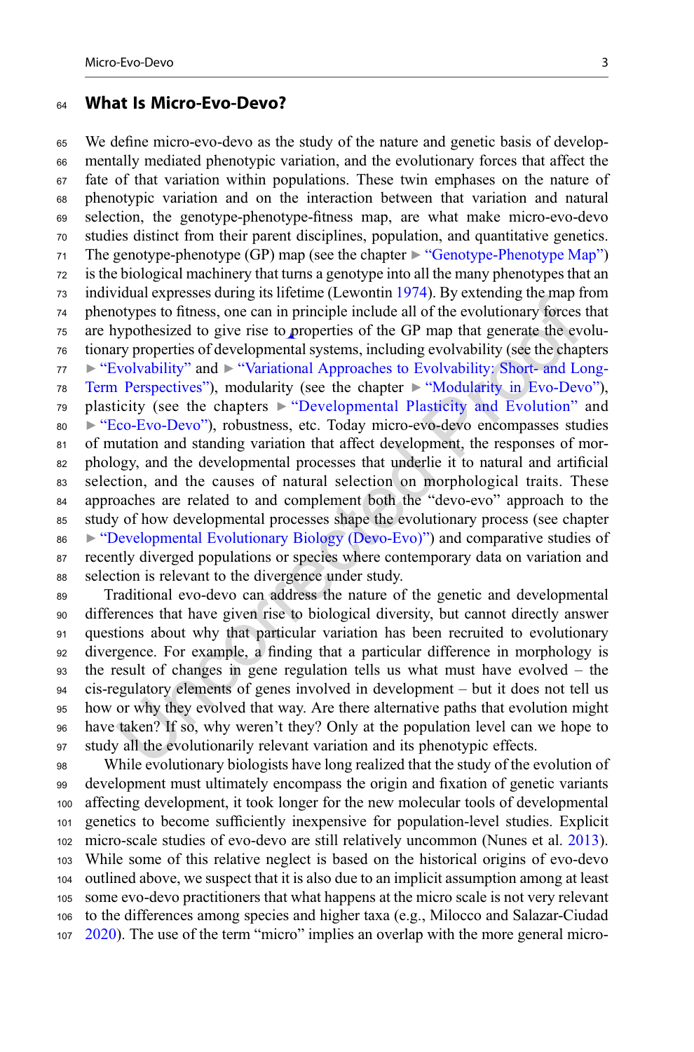#### 64 What Is Micro-Evo-Devo?

 We define micro-evo-devo as the study of the nature and genetic basis of develop- mentally mediated phenotypic variation, and the evolutionary forces that affect the fate of that variation within populations. These twin emphases on the nature of phenotypic variation and on the interaction between that variation and natural selection, the genotype-phenotype-fitness map, are what make micro-evo-devo studies distinct from their parent disciplines, population, and quantitative genetics. 71 The genotype-phenotype (GP) map (see the chapter  $\triangleright$  "[Genotype-Phenotype Map](http://link.springer.com/search?facet-eisbn=978-3-319-33038-9&facet-content-type=ReferenceWorkEntry&query=Genotype-Phenotype Map)") is the biological machinery that turns a genotype into all the many phenotypes that an individual expresses during its lifetime (Lewontin [1974\)](#page-12-0). By extending the map from phenotypes to fitness, one can in principle include all of the evolutionary forces that are hypothesized to give rise to properties of the GP map that generate the evolu- tionary properties of developmental systems, including evolvability (see the chapters ▶ "[Evolvability](http://link.springer.com/search?facet-eisbn=978-3-319-33038-9&facet-content-type=ReferenceWorkEntry&query=Evolvability)" and ▶ "[Variational Approaches to Evolvability: Short- and Long-](http://link.springer.com/search?facet-eisbn=978-3-319-33038-9&facet-content-type=ReferenceWorkEntry&query=Variational Approaches to Evolvability: Short- and Long-Term Perspectives��) [Term Perspectives](http://link.springer.com/search?facet-eisbn=978-3-319-33038-9&facet-content-type=ReferenceWorkEntry&query=Variational Approaches to Evolvability: Short- and Long-Term Perspectives��)"), modularity (see the chapter ▶ "[Modularity in Evo-Devo](http://link.springer.com/search?facet-eisbn=978-3-319-33038-9&facet-content-type=ReferenceWorkEntry&query=Modularity in Evo-Devo)"), plasticity (see the chapters  $\triangleright$  "[Developmental Plasticity and Evolution](http://link.springer.com/search?facet-eisbn=978-3-319-33038-9&facet-content-type=ReferenceWorkEntry&query=Developmental Plasticity and Evolution)" and ▶ "[Eco-Evo-Devo](http://link.springer.com/search?facet-eisbn=978-3-319-33038-9&facet-content-type=ReferenceWorkEntry&query=Eco-Evo-Devo)"), robustness, etc. Today micro-evo-devo encompasses studies of mutation and standing variation that affect development, the responses of mor- phology, and the developmental processes that underlie it to natural and artificial selection, and the causes of natural selection on morphological traits. These approaches are related to and complement both the "devo-evo" approach to the study of how developmental processes shape the evolutionary process (see chapter ▶ "[Developmental Evolutionary Biology \(Devo-Evo\)](http://link.springer.com/search?facet-eisbn=978-3-319-33038-9&facet-content-type=ReferenceWorkEntry&query=Developmental Evolutionary Biology (Devo-Evo))") and comparative studies of recently diverged populations or species where contemporary data on variation and selection is relevant to the divergence under study.

 Traditional evo-devo can address the nature of the genetic and developmental differences that have given rise to biological diversity, but cannot directly answer questions about why that particular variation has been recruited to evolutionary divergence. For example, a finding that a particular difference in morphology is the result of changes in gene regulation tells us what must have evolved – the cis-regulatory elements of genes involved in development – but it does not tell us how or why they evolved that way. Are there alternative paths that evolution might have taken? If so, why weren't they? Only at the population level can we hope to study all the evolutionarily relevant variation and its phenotypic effects.

 While evolutionary biologists have long realized that the study of the evolution of development must ultimately encompass the origin and fixation of genetic variants affecting development, it took longer for the new molecular tools of developmental genetics to become sufficiently inexpensive for population-level studies. Explicit micro-scale studies of evo-devo are still relatively uncommon (Nunes et al. [2013\)](#page-13-0). While some of this relative neglect is based on the historical origins of evo-devo outlined above, we suspect that it is also due to an implicit assumption among at least some evo-devo practitioners that what happens at the micro scale is not very relevant to the differences among species and higher taxa (e.g., Milocco and Salazar-Ciudad [2020\)](#page-13-0). The use of the term "micro" implies an overlap with the more general micro-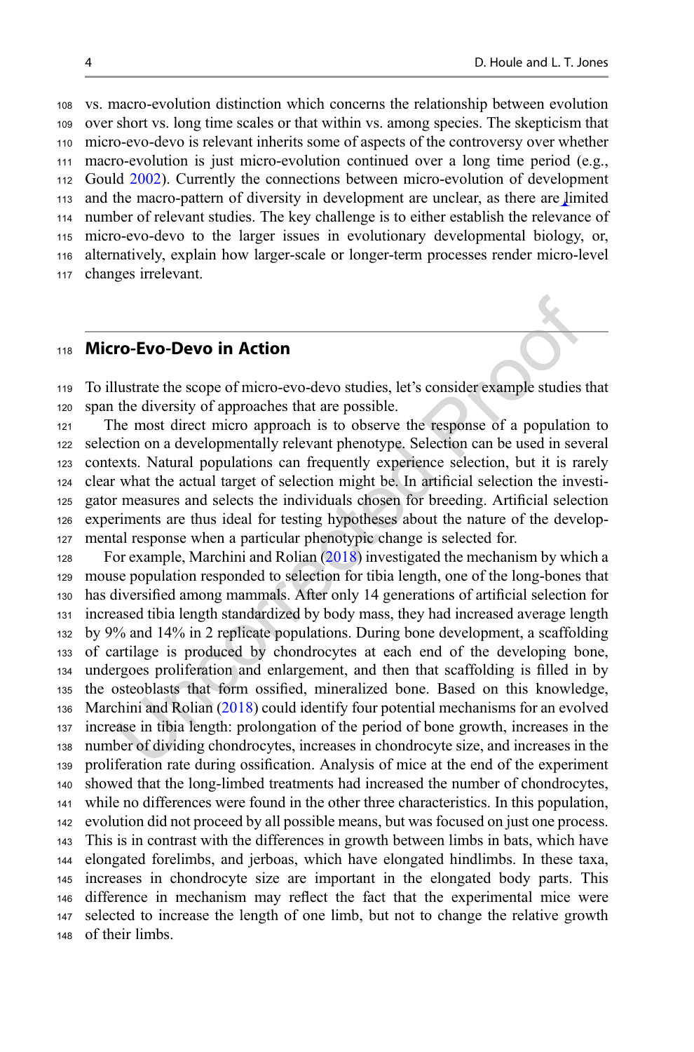vs. macro-evolution distinction which concerns the relationship between evolution over short vs. long time scales or that within vs. among species. The skepticism that micro-evo-devo is relevant inherits some of aspects of the controversy over whether macro-evolution is just micro-evolution continued over a long time period (e.g., Gould [2002](#page-12-0)). Currently the connections between micro-evolution of development and the macro-pattern of diversity in development are unclear, as there are limited number of relevant studies. The key challenge is to either establish the relevance of micro-evo-devo to the larger issues in evolutionary developmental biology, or, alternatively, explain how larger-scale or longer-term processes render micro-level changes irrelevant.

#### Micro-Evo-Devo in Action

 To illustrate the scope of micro-evo-devo studies, let's consider example studies that span the diversity of approaches that are possible.

 The most direct micro approach is to observe the response of a population to selection on a developmentally relevant phenotype. Selection can be used in several contexts. Natural populations can frequently experience selection, but it is rarely clear what the actual target of selection might be. In artificial selection the investi- gator measures and selects the individuals chosen for breeding. Artificial selection experiments are thus ideal for testing hypotheses about the nature of the develop-mental response when a particular phenotypic change is selected for.

128 For example, Marchini and Rolian [\(2018](#page-12-0)) investigated the mechanism by which a mouse population responded to selection for tibia length, one of the long-bones that has diversified among mammals. After only 14 generations of artificial selection for increased tibia length standardized by body mass, they had increased average length by 9% and 14% in 2 replicate populations. During bone development, a scaffolding of cartilage is produced by chondrocytes at each end of the developing bone, undergoes proliferation and enlargement, and then that scaffolding is filled in by the osteoblasts that form ossified, mineralized bone. Based on this knowledge, Marchini and Rolian [\(2018](#page-12-0)) could identify four potential mechanisms for an evolved increase in tibia length: prolongation of the period of bone growth, increases in the number of dividing chondrocytes, increases in chondrocyte size, and increases in the proliferation rate during ossification. Analysis of mice at the end of the experiment showed that the long-limbed treatments had increased the number of chondrocytes, while no differences were found in the other three characteristics. In this population, evolution did not proceed by all possible means, but was focused on just one process. This is in contrast with the differences in growth between limbs in bats, which have elongated forelimbs, and jerboas, which have elongated hindlimbs. In these taxa, increases in chondrocyte size are important in the elongated body parts. This difference in mechanism may reflect the fact that the experimental mice were selected to increase the length of one limb, but not to change the relative growth of their limbs.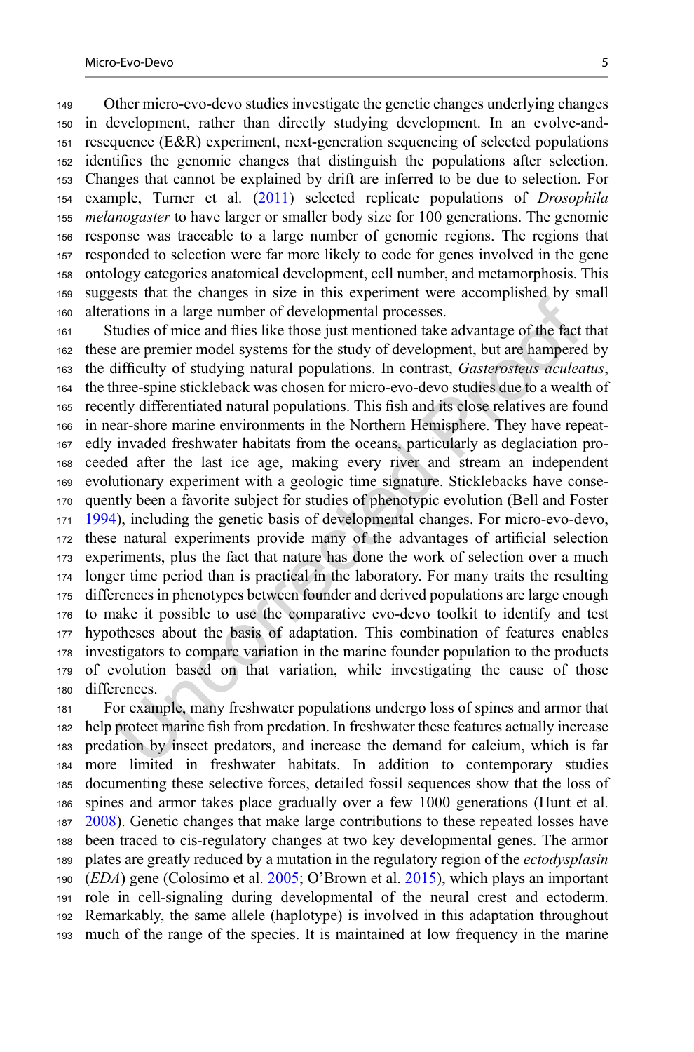Other micro-evo-devo studies investigate the genetic changes underlying changes in development, rather than directly studying development. In an evolve-and- resequence (E&R) experiment, next-generation sequencing of selected populations identifies the genomic changes that distinguish the populations after selection. Changes that cannot be explained by drift are inferred to be due to selection. For example, Turner et al. ([2011](#page-13-0)) selected replicate populations of Drosophila melanogaster to have larger or smaller body size for 100 generations. The genomic response was traceable to a large number of genomic regions. The regions that responded to selection were far more likely to code for genes involved in the gene ontology categories anatomical development, cell number, and metamorphosis. This suggests that the changes in size in this experiment were accomplished by small alterations in a large number of developmental processes.

 Studies of mice and flies like those just mentioned take advantage of the fact that these are premier model systems for the study of development, but are hampered by the difficulty of studying natural populations. In contrast, Gasterosteus aculeatus, the three-spine stickleback was chosen for micro-evo-devo studies due to a wealth of recently differentiated natural populations. This fish and its close relatives are found in near-shore marine environments in the Northern Hemisphere. They have repeat- edly invaded freshwater habitats from the oceans, particularly as deglaciation pro- ceeded after the last ice age, making every river and stream an independent evolutionary experiment with a geologic time signature. Sticklebacks have conse- quently been a favorite subject for studies of phenotypic evolution (Bell and Foster [1994\)](#page-12-0), including the genetic basis of developmental changes. For micro-evo-devo, these natural experiments provide many of the advantages of artificial selection experiments, plus the fact that nature has done the work of selection over a much longer time period than is practical in the laboratory. For many traits the resulting differences in phenotypes between founder and derived populations are large enough to make it possible to use the comparative evo-devo toolkit to identify and test hypotheses about the basis of adaptation. This combination of features enables investigators to compare variation in the marine founder population to the products of evolution based on that variation, while investigating the cause of those differences.

 For example, many freshwater populations undergo loss of spines and armor that help protect marine fish from predation. In freshwater these features actually increase predation by insect predators, and increase the demand for calcium, which is far more limited in freshwater habitats. In addition to contemporary studies documenting these selective forces, detailed fossil sequences show that the loss of spines and armor takes place gradually over a few 1000 generations (Hunt et al. [2008\)](#page-12-0). Genetic changes that make large contributions to these repeated losses have been traced to cis-regulatory changes at two key developmental genes. The armor plates are greatly reduced by a mutation in the regulatory region of the ectodysplasin (EDA) gene (Colosimo et al. [2005;](#page-12-0) O'Brown et al. [2015\)](#page-13-0), which plays an important role in cell-signaling during developmental of the neural crest and ectoderm. Remarkably, the same allele (haplotype) is involved in this adaptation throughout much of the range of the species. It is maintained at low frequency in the marine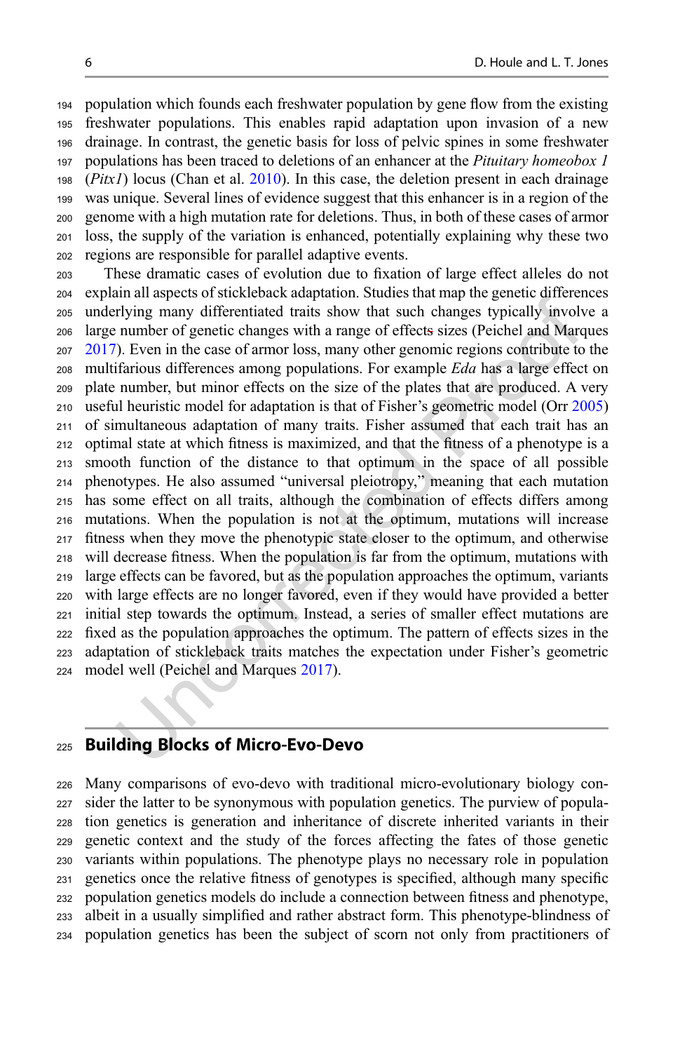population which founds each freshwater population by gene flow from the existing freshwater populations. This enables rapid adaptation upon invasion of a new drainage. In contrast, the genetic basis for loss of pelvic spines in some freshwater 197 populations has been traced to deletions of an enhancer at the *Pituitary homeobox 1* 198 ( $Pitx1$ ) locus (Chan et al. [2010](#page-12-0)). In this case, the deletion present in each drainage was unique. Several lines of evidence suggest that this enhancer is in a region of the genome with a high mutation rate for deletions. Thus, in both of these cases of armor loss, the supply of the variation is enhanced, potentially explaining why these two regions are responsible for parallel adaptive events.

 These dramatic cases of evolution due to fixation of large effect alleles do not explain all aspects of stickleback adaptation. Studies that map the genetic differences underlying many differentiated traits show that such changes typically involve a large number of genetic changes with a range of effects sizes (Peichel and Marques [2017\)](#page-13-0). Even in the case of armor loss, many other genomic regions contribute to the multifarious differences among populations. For example Eda has a large effect on plate number, but minor effects on the size of the plates that are produced. A very useful heuristic model for adaptation is that of Fisher's geometric model (Orr [2005](#page-13-0)) of simultaneous adaptation of many traits. Fisher assumed that each trait has an optimal state at which fitness is maximized, and that the fitness of a phenotype is a smooth function of the distance to that optimum in the space of all possible phenotypes. He also assumed "universal pleiotropy," meaning that each mutation has some effect on all traits, although the combination of effects differs among mutations. When the population is not at the optimum, mutations will increase fitness when they move the phenotypic state closer to the optimum, and otherwise will decrease fitness. When the population is far from the optimum, mutations with large effects can be favored, but as the population approaches the optimum, variants with large effects are no longer favored, even if they would have provided a better initial step towards the optimum. Instead, a series of smaller effect mutations are fixed as the population approaches the optimum. The pattern of effects sizes in the adaptation of stickleback traits matches the expectation under Fisher's geometric model well (Peichel and Marques [2017\)](#page-13-0).

#### Building Blocks of Micro-Evo-Devo

 Many comparisons of evo-devo with traditional micro-evolutionary biology con- sider the latter to be synonymous with population genetics. The purview of popula- tion genetics is generation and inheritance of discrete inherited variants in their genetic context and the study of the forces affecting the fates of those genetic variants within populations. The phenotype plays no necessary role in population genetics once the relative fitness of genotypes is specified, although many specific population genetics models do include a connection between fitness and phenotype, albeit in a usually simplified and rather abstract form. This phenotype-blindness of population genetics has been the subject of scorn not only from practitioners of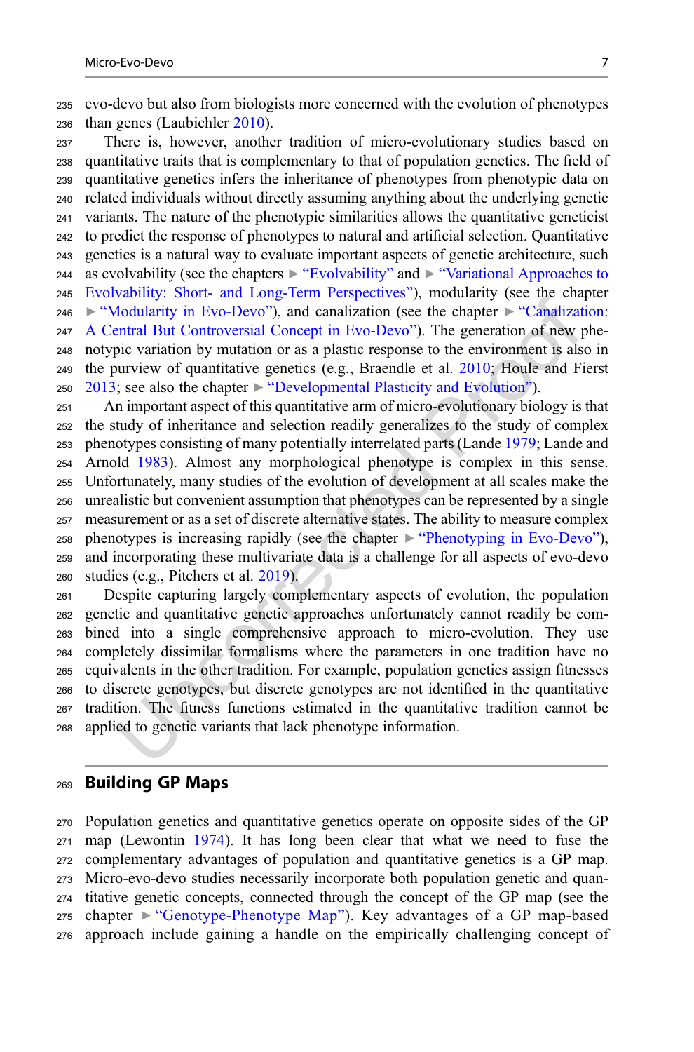evo-devo but also from biologists more concerned with the evolution of phenotypes than genes (Laubichler [2010\)](#page-12-0).

 There is, however, another tradition of micro-evolutionary studies based on quantitative traits that is complementary to that of population genetics. The field of quantitative genetics infers the inheritance of phenotypes from phenotypic data on related individuals without directly assuming anything about the underlying genetic variants. The nature of the phenotypic similarities allows the quantitative geneticist to predict the response of phenotypes to natural and artificial selection. Quantitative genetics is a natural way to evaluate important aspects of genetic architecture, such 244 as evolvability (see the chapters  $\triangleright$  "[Evolvability](http://link.springer.com/search?facet-eisbn=978-3-319-33038-9&facet-content-type=ReferenceWorkEntry&query=Evolvability)" and  $\triangleright$  "[Variational Approaches to](http://link.springer.com/search?facet-eisbn=978-3-319-33038-9&facet-content-type=ReferenceWorkEntry&query=Variational Approaches to Evolvability: Short- and Long-Term Perspectives) [Evolvability: Short- and Long-Term Perspectives](http://link.springer.com/search?facet-eisbn=978-3-319-33038-9&facet-content-type=ReferenceWorkEntry&query=Variational Approaches to Evolvability: Short- and Long-Term Perspectives)"), modularity (see the chapter  $246 \rightarrow$  "[Modularity in Evo-Devo](http://link.springer.com/search?facet-eisbn=978-3-319-33038-9&facet-content-type=ReferenceWorkEntry&query=Modularity in Evo-Devo)"), and canalization (see the chapter  $\triangleright$  "[Canalization:](http://link.springer.com/search?facet-eisbn=978-3-319-33038-9&facet-content-type=ReferenceWorkEntry&query=Canalization: A Central But Controversial Concept in Evo-Devo) [A Central But Controversial Concept in Evo-Devo](http://link.springer.com/search?facet-eisbn=978-3-319-33038-9&facet-content-type=ReferenceWorkEntry&query=Canalization: A Central But Controversial Concept in Evo-Devo)"). The generation of new phe- notypic variation by mutation or as a plastic response to the environment is also in the purview of quantitative genetics (e.g., Braendle et al. [2010;](#page-12-0) Houle and Fierst [2013;](#page-12-0) see also the chapter  $\triangleright$  "[Developmental Plasticity and Evolution](http://link.springer.com/search?facet-eisbn=978-3-319-33038-9&facet-content-type=ReferenceWorkEntry&query=Developmental Plasticity and Evolution)").

 An important aspect of this quantitative arm of micro-evolutionary biology is that the study of inheritance and selection readily generalizes to the study of complex phenotypes consisting of many potentially interrelated parts (Lande [1979;](#page-12-0) Lande and Arnold [1983\)](#page-12-0). Almost any morphological phenotype is complex in this sense. Unfortunately, many studies of the evolution of development at all scales make the unrealistic but convenient assumption that phenotypes can be represented by a single measurement or as a set of discrete alternative states. The ability to measure complex 258 phenotypes is increasing rapidly (see the chapter  $\triangleright$  "[Phenotyping in Evo-Devo](http://link.springer.com/search?facet-eisbn=978-3-319-33038-9&facet-content-type=ReferenceWorkEntry&query=Phenotyping in Evo-Devo)"), and incorporating these multivariate data is a challenge for all aspects of evo-devo studies (e.g., Pitchers et al. [2019\)](#page-13-0).

 Despite capturing largely complementary aspects of evolution, the population genetic and quantitative genetic approaches unfortunately cannot readily be com- bined into a single comprehensive approach to micro-evolution. They use completely dissimilar formalisms where the parameters in one tradition have no equivalents in the other tradition. For example, population genetics assign fitnesses to discrete genotypes, but discrete genotypes are not identified in the quantitative tradition. The fitness functions estimated in the quantitative tradition cannot be applied to genetic variants that lack phenotype information.

#### Building GP Maps

 Population genetics and quantitative genetics operate on opposite sides of the GP map (Lewontin [1974](#page-12-0)). It has long been clear that what we need to fuse the complementary advantages of population and quantitative genetics is a GP map. Micro-evo-devo studies necessarily incorporate both population genetic and quan- titative genetic concepts, connected through the concept of the GP map (see the chapter ▶ "[Genotype-Phenotype Map](http://link.springer.com/search?facet-eisbn=978-3-319-33038-9&facet-content-type=ReferenceWorkEntry&query=Genotype-Phenotype Map)"). Key advantages of a GP map-based approach include gaining a handle on the empirically challenging concept of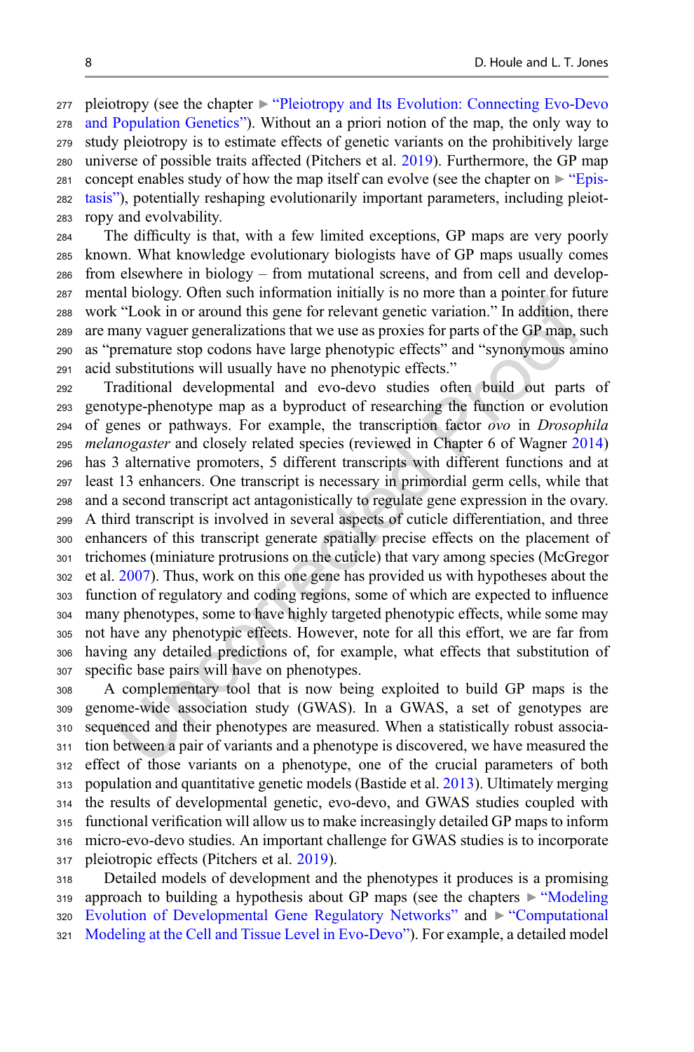pleiotropy (see the chapter  $\triangleright$  "[Pleiotropy and Its Evolution: Connecting Evo-Devo](http://link.springer.com/search?facet-eisbn=978-3-319-33038-9&facet-content-type=ReferenceWorkEntry&query=Pleiotropy and Its Evolution: Connecting Evo-Devo and Population Genetics) [and Population Genetics](http://link.springer.com/search?facet-eisbn=978-3-319-33038-9&facet-content-type=ReferenceWorkEntry&query=Pleiotropy and Its Evolution: Connecting Evo-Devo and Population Genetics)"). Without an a priori notion of the map, the only way to study pleiotropy is to estimate effects of genetic variants on the prohibitively large universe of possible traits affected (Pitchers et al. [2019](#page-13-0)). Furthermore, the GP map 281 concept enables study of how the map itself can evolve (see the chapter on  $\triangleright$  "[Epis-](http://link.springer.com/search?facet-eisbn=978-3-319-33038-9&facet-content-type=ReferenceWorkEntry&query=Epistasis) [tasis](http://link.springer.com/search?facet-eisbn=978-3-319-33038-9&facet-content-type=ReferenceWorkEntry&query=Epistasis)"), potentially reshaping evolutionarily important parameters, including pleiot-ropy and evolvability.

 The difficulty is that, with a few limited exceptions, GP maps are very poorly known. What knowledge evolutionary biologists have of GP maps usually comes from elsewhere in biology – from mutational screens, and from cell and develop- mental biology. Often such information initially is no more than a pointer for future work "Look in or around this gene for relevant genetic variation." In addition, there are many vaguer generalizations that we use as proxies for parts of the GP map, such as "premature stop codons have large phenotypic effects" and "synonymous amino acid substitutions will usually have no phenotypic effects."

 Traditional developmental and evo-devo studies often build out parts of genotype-phenotype map as a byproduct of researching the function or evolution of genes or pathways. For example, the transcription factor ovo in Drosophila melanogaster and closely related species (reviewed in Chapter 6 of Wagner [2014](#page-13-0)) has 3 alternative promoters, 5 different transcripts with different functions and at least 13 enhancers. One transcript is necessary in primordial germ cells, while that and a second transcript act antagonistically to regulate gene expression in the ovary. A third transcript is involved in several aspects of cuticle differentiation, and three enhancers of this transcript generate spatially precise effects on the placement of trichomes (miniature protrusions on the cuticle) that vary among species (McGregor et al. [2007](#page-13-0)). Thus, work on this one gene has provided us with hypotheses about the function of regulatory and coding regions, some of which are expected to influence many phenotypes, some to have highly targeted phenotypic effects, while some may not have any phenotypic effects. However, note for all this effort, we are far from having any detailed predictions of, for example, what effects that substitution of specific base pairs will have on phenotypes.

 A complementary tool that is now being exploited to build GP maps is the genome-wide association study (GWAS). In a GWAS, a set of genotypes are sequenced and their phenotypes are measured. When a statistically robust associa- tion between a pair of variants and a phenotype is discovered, we have measured the effect of those variants on a phenotype, one of the crucial parameters of both population and quantitative genetic models (Bastide et al. [2013\)](#page-12-0). Ultimately merging the results of developmental genetic, evo-devo, and GWAS studies coupled with functional verification will allow us to make increasingly detailed GP maps to inform micro-evo-devo studies. An important challenge for GWAS studies is to incorporate pleiotropic effects (Pitchers et al. [2019](#page-13-0)).

 Detailed models of development and the phenotypes it produces is a promising 319 approach to building a hypothesis about GP maps (see the chapters  $\triangleright$  "[Modeling](http://link.springer.com/search?facet-eisbn=978-3-319-33038-9&facet-content-type=ReferenceWorkEntry&query=Modeling Evolution of Developmental Gene Regulatory Networks)") [Evolution of Developmental Gene Regulatory Networks](http://link.springer.com/search?facet-eisbn=978-3-319-33038-9&facet-content-type=ReferenceWorkEntry&query=Modeling Evolution of Developmental Gene Regulatory Networks)" and ▶ "[Computational](http://link.springer.com/search?facet-eisbn=978-3-319-33038-9&facet-content-type=ReferenceWorkEntry&query=Computational Modeling at the Cell and Tissue Level in Evo-Devo) [Modeling at the Cell and Tissue Level in Evo-Devo](http://link.springer.com/search?facet-eisbn=978-3-319-33038-9&facet-content-type=ReferenceWorkEntry&query=Computational Modeling at the Cell and Tissue Level in Evo-Devo)"). For example, a detailed model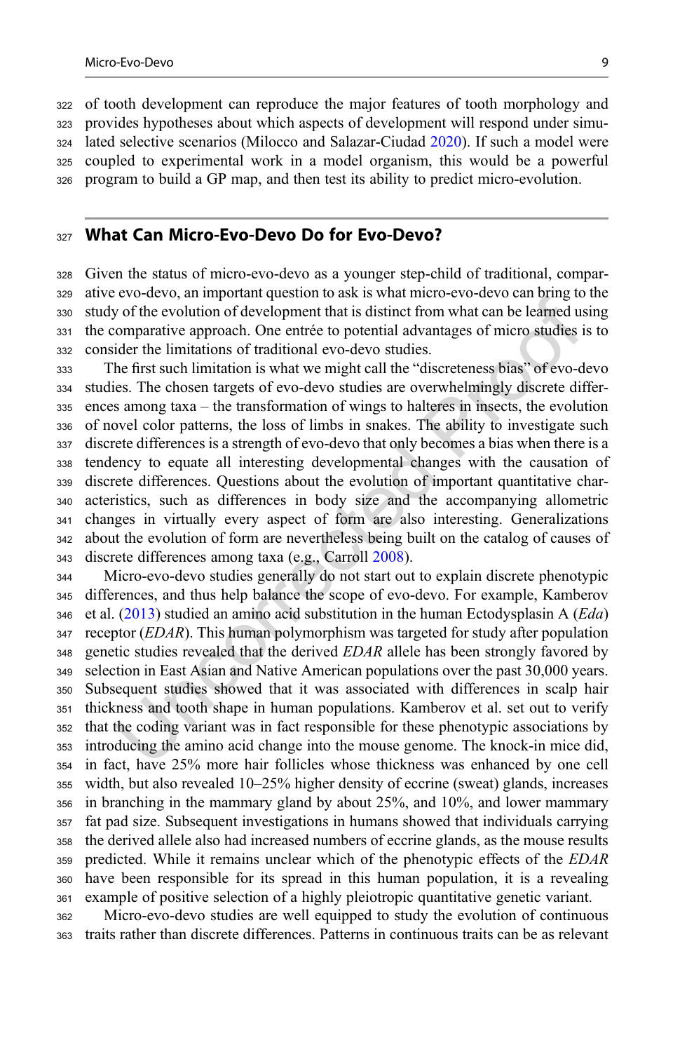of tooth development can reproduce the major features of tooth morphology and provides hypotheses about which aspects of development will respond under simu- lated selective scenarios (Milocco and Salazar-Ciudad [2020\)](#page-13-0). If such a model were coupled to experimental work in a model organism, this would be a powerful program to build a GP map, and then test its ability to predict micro-evolution.

#### What Can Micro-Evo-Devo Do for Evo-Devo?

 Given the status of micro-evo-devo as a younger step-child of traditional, compar- ative evo-devo, an important question to ask is what micro-evo-devo can bring to the study of the evolution of development that is distinct from what can be learned using the comparative approach. One entrée to potential advantages of micro studies is to consider the limitations of traditional evo-devo studies.

 The first such limitation is what we might call the "discreteness bias" of evo-devo studies. The chosen targets of evo-devo studies are overwhelmingly discrete differ- ences among taxa – the transformation of wings to halteres in insects, the evolution of novel color patterns, the loss of limbs in snakes. The ability to investigate such discrete differences is a strength of evo-devo that only becomes a bias when there is a tendency to equate all interesting developmental changes with the causation of discrete differences. Questions about the evolution of important quantitative char- acteristics, such as differences in body size and the accompanying allometric changes in virtually every aspect of form are also interesting. Generalizations about the evolution of form are nevertheless being built on the catalog of causes of discrete differences among taxa (e.g., Carroll [2008](#page-12-0)).

 Micro-evo-devo studies generally do not start out to explain discrete phenotypic differences, and thus help balance the scope of evo-devo. For example, Kamberov 346 et al.  $(2013)$  $(2013)$  studied an amino acid substitution in the human Ectodysplasin A (*Eda*) receptor (*EDAR*). This human polymorphism was targeted for study after population 348 genetic studies revealed that the derived EDAR allele has been strongly favored by selection in East Asian and Native American populations over the past 30,000 years. Subsequent studies showed that it was associated with differences in scalp hair thickness and tooth shape in human populations. Kamberov et al. set out to verify that the coding variant was in fact responsible for these phenotypic associations by introducing the amino acid change into the mouse genome. The knock-in mice did, in fact, have 25% more hair follicles whose thickness was enhanced by one cell width, but also revealed 10–25% higher density of eccrine (sweat) glands, increases in branching in the mammary gland by about 25%, and 10%, and lower mammary fat pad size. Subsequent investigations in humans showed that individuals carrying the derived allele also had increased numbers of eccrine glands, as the mouse results predicted. While it remains unclear which of the phenotypic effects of the EDAR have been responsible for its spread in this human population, it is a revealing example of positive selection of a highly pleiotropic quantitative genetic variant.

 Micro-evo-devo studies are well equipped to study the evolution of continuous traits rather than discrete differences. Patterns in continuous traits can be as relevant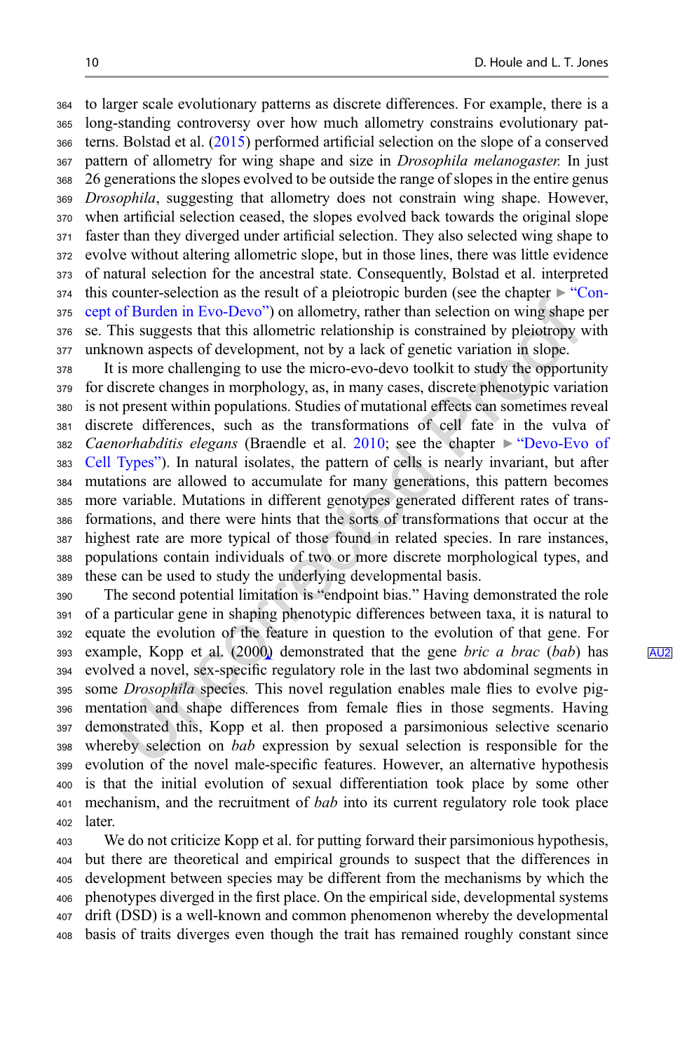to larger scale evolutionary patterns as discrete differences. For example, there is a long-standing controversy over how much allometry constrains evolutionary pat- terns. Bolstad et al. ([2015\)](#page-12-0) performed artificial selection on the slope of a conserved pattern of allometry for wing shape and size in Drosophila melanogaster. In just 26 generations the slopes evolved to be outside the range of slopes in the entire genus Drosophila, suggesting that allometry does not constrain wing shape. However, when artificial selection ceased, the slopes evolved back towards the original slope faster than they diverged under artificial selection. They also selected wing shape to evolve without altering allometric slope, but in those lines, there was little evidence of natural selection for the ancestral state. Consequently, Bolstad et al. interpreted this counter-selection as the result of a pleiotropic burden (see the chapter  $\triangleright$  "[Con-](http://link.springer.com/search?facet-eisbn=978-3-319-33038-9&facet-content-type=ReferenceWorkEntry&query=Concept of Burden in Evo-Devo) [cept of Burden in Evo-Devo](http://link.springer.com/search?facet-eisbn=978-3-319-33038-9&facet-content-type=ReferenceWorkEntry&query=Concept of Burden in Evo-Devo)") on allometry, rather than selection on wing shape per se. This suggests that this allometric relationship is constrained by pleiotropy with unknown aspects of development, not by a lack of genetic variation in slope.

 It is more challenging to use the micro-evo-devo toolkit to study the opportunity for discrete changes in morphology, as, in many cases, discrete phenotypic variation is not present within populations. Studies of mutational effects can sometimes reveal discrete differences, such as the transformations of cell fate in the vulva of 382 Caenorhabditis elegans (Braendle et al. [2010;](#page-12-0) see the chapter  $\triangleright$  "[Devo-Evo of](http://link.springer.com/search?facet-eisbn=978-3-319-33038-9&facet-content-type=ReferenceWorkEntry&query=Devo-Evo of Cell Types) [Cell Types](http://link.springer.com/search?facet-eisbn=978-3-319-33038-9&facet-content-type=ReferenceWorkEntry&query=Devo-Evo of Cell Types)"). In natural isolates, the pattern of cells is nearly invariant, but after mutations are allowed to accumulate for many generations, this pattern becomes more variable. Mutations in different genotypes generated different rates of trans- formations, and there were hints that the sorts of transformations that occur at the highest rate are more typical of those found in related species. In rare instances, populations contain individuals of two or more discrete morphological types, and these can be used to study the underlying developmental basis.

 The second potential limitation is "endpoint bias." Having demonstrated the role of a particular gene in shaping phenotypic differences between taxa, it is natural to equate the evolution of the feature in question to the evolution of that gene. For 393 example, Kopp et al. (2000) demonstrated that the gene *bric a brac* (*bab*) has  $\overline{AU2}$  $\overline{AU2}$  $\overline{AU2}$  evolved a novel, sex-specific regulatory role in the last two abdominal segments in some Drosophila species. This novel regulation enables male flies to evolve pig- mentation and shape differences from female flies in those segments. Having demonstrated this, Kopp et al. then proposed a parsimonious selective scenario whereby selection on bab expression by sexual selection is responsible for the evolution of the novel male-specific features. However, an alternative hypothesis is that the initial evolution of sexual differentiation took place by some other 401 mechanism, and the recruitment of *bab* into its current regulatory role took place later.

 We do not criticize Kopp et al. for putting forward their parsimonious hypothesis, but there are theoretical and empirical grounds to suspect that the differences in development between species may be different from the mechanisms by which the phenotypes diverged in the first place. On the empirical side, developmental systems drift (DSD) is a well-known and common phenomenon whereby the developmental basis of traits diverges even though the trait has remained roughly constant since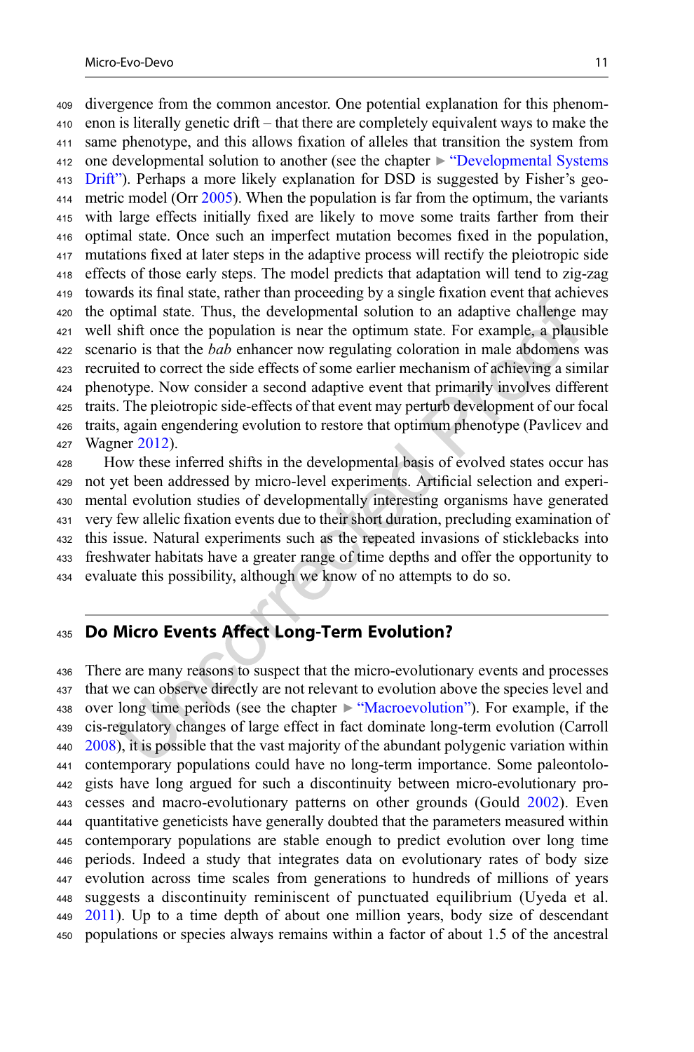divergence from the common ancestor. One potential explanation for this phenom- enon is literally genetic drift – that there are completely equivalent ways to make the same phenotype, and this allows fixation of alleles that transition the system from one developmental solution to another (see the chapter ▶ "[Developmental Systems](http://link.springer.com/search?facet-eisbn=978-3-319-33038-9&facet-content-type=ReferenceWorkEntry&query=Developmental Systems Drift) [Drift](http://link.springer.com/search?facet-eisbn=978-3-319-33038-9&facet-content-type=ReferenceWorkEntry&query=Developmental Systems Drift)"). Perhaps a more likely explanation for DSD is suggested by Fisher's geo- metric model (Orr [2005\)](#page-13-0). When the population is far from the optimum, the variants with large effects initially fixed are likely to move some traits farther from their optimal state. Once such an imperfect mutation becomes fixed in the population, mutations fixed at later steps in the adaptive process will rectify the pleiotropic side effects of those early steps. The model predicts that adaptation will tend to zig-zag towards its final state, rather than proceeding by a single fixation event that achieves the optimal state. Thus, the developmental solution to an adaptive challenge may well shift once the population is near the optimum state. For example, a plausible 422 scenario is that the *bab* enhancer now regulating coloration in male abdomens was recruited to correct the side effects of some earlier mechanism of achieving a similar

 phenotype. Now consider a second adaptive event that primarily involves different traits. The pleiotropic side-effects of that event may perturb development of our focal traits, again engendering evolution to restore that optimum phenotype (Pavlicev and Wagner [2012](#page-13-0)).

 How these inferred shifts in the developmental basis of evolved states occur has not yet been addressed by micro-level experiments. Artificial selection and experi- mental evolution studies of developmentally interesting organisms have generated very few allelic fixation events due to their short duration, precluding examination of this issue. Natural experiments such as the repeated invasions of sticklebacks into freshwater habitats have a greater range of time depths and offer the opportunity to evaluate this possibility, although we know of no attempts to do so.

## Do Micro Events Affect Long-Term Evolution?

 There are many reasons to suspect that the micro-evolutionary events and processes that we can observe directly are not relevant to evolution above the species level and over long time periods (see the chapter ▶ "[Macroevolution](http://link.springer.com/search?facet-eisbn=978-3-319-33038-9&facet-content-type=ReferenceWorkEntry&query=Macroevolution)"). For example, if the cis-regulatory changes of large effect in fact dominate long-term evolution (Carroll [2008\)](#page-12-0), it is possible that the vast majority of the abundant polygenic variation within contemporary populations could have no long-term importance. Some paleontolo- gists have long argued for such a discontinuity between micro-evolutionary pro- cesses and macro-evolutionary patterns on other grounds (Gould [2002](#page-12-0)). Even quantitative geneticists have generally doubted that the parameters measured within contemporary populations are stable enough to predict evolution over long time periods. Indeed a study that integrates data on evolutionary rates of body size evolution across time scales from generations to hundreds of millions of years suggests a discontinuity reminiscent of punctuated equilibrium (Uyeda et al. [2011\)](#page-13-0). Up to a time depth of about one million years, body size of descendant populations or species always remains within a factor of about 1.5 of the ancestral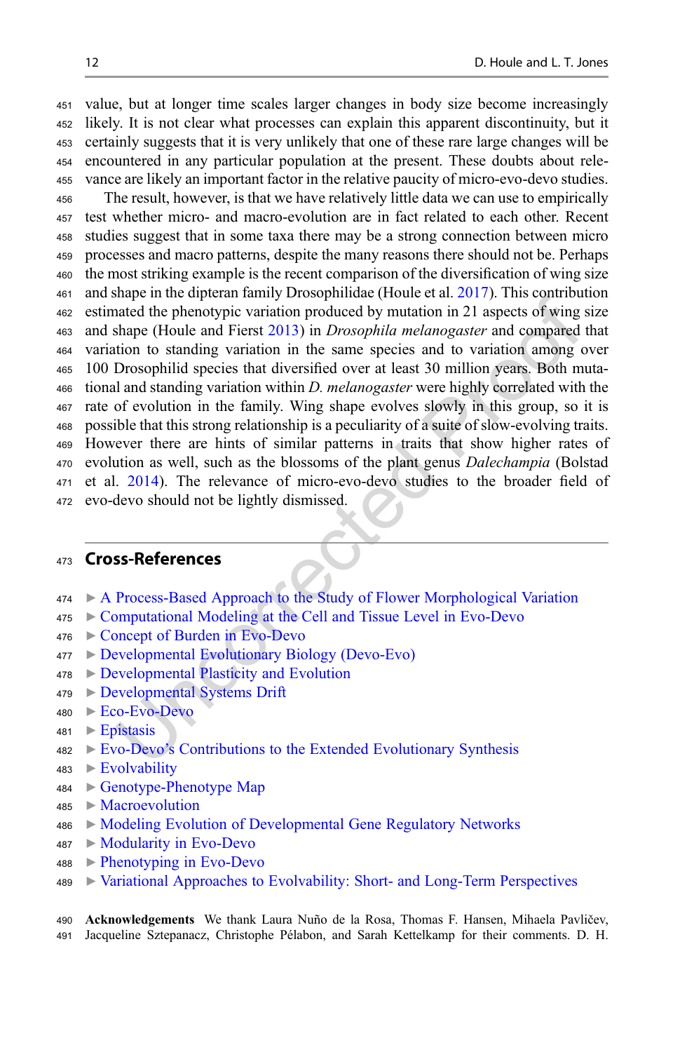value, but at longer time scales larger changes in body size become increasingly likely. It is not clear what processes can explain this apparent discontinuity, but it certainly suggests that it is very unlikely that one of these rare large changes will be encountered in any particular population at the present. These doubts about rele-vance are likely an important factor in the relative paucity of micro-evo-devo studies.

 The result, however, is that we have relatively little data we can use to empirically test whether micro- and macro-evolution are in fact related to each other. Recent studies suggest that in some taxa there may be a strong connection between micro processes and macro patterns, despite the many reasons there should not be. Perhaps the most striking example is the recent comparison of the diversification of wing size and shape in the dipteran family Drosophilidae (Houle et al. [2017\)](#page-12-0). This contribution estimated the phenotypic variation produced by mutation in 21 aspects of wing size and shape (Houle and Fierst [2013\)](#page-12-0) in Drosophila melanogaster and compared that variation to standing variation in the same species and to variation among over 100 Drosophilid species that diversified over at least 30 million years. Both muta- tional and standing variation within D. melanogaster were highly correlated with the rate of evolution in the family. Wing shape evolves slowly in this group, so it is possible that this strong relationship is a peculiarity of a suite of slow-evolving traits. However there are hints of similar patterns in traits that show higher rates of 470 evolution as well, such as the blossoms of the plant genus *Dalechampia* (Bolstad et al. [2014\)](#page-12-0). The relevance of micro-evo-devo studies to the broader field of evo-devo should not be lightly dismissed.

#### Cross-References

- ▶ [A Process-Based Approach to the Study of Flower Morphological Variation](http://link.springer.com/search?facet-eisbn=978-3-319-33038-9&facet-content-type=ReferenceWorkEntry&query=A Process-Based Approach to the Study of Flower Morphological Variation)
- $\triangleright$  [Computational Modeling at the Cell and Tissue Level in Evo-Devo](http://link.springer.com/search?facet-eisbn=978-3-319-33038-9&facet-content-type=ReferenceWorkEntry&query=Computational Modeling at the Cell and Tissue Level in Evo-Devo)
- ▶ [Concept of Burden in Evo-Devo](http://link.springer.com/search?facet-eisbn=978-3-319-33038-9&facet-content-type=ReferenceWorkEntry&query=Concept of Burden in Evo-Devo)
- $\triangleright$  [Developmental Evolutionary Biology \(Devo-Evo\)](http://link.springer.com/search?facet-eisbn=978-3-319-33038-9&facet-content-type=ReferenceWorkEntry&query=Developmental Evolutionary Biology (Devo-Evo))
- ▶ [Developmental Plasticity and Evolution](http://link.springer.com/search?facet-eisbn=978-3-319-33038-9&facet-content-type=ReferenceWorkEntry&query=Developmental Plasticity and Evolution)
- ▶ [Developmental Systems Drift](http://link.springer.com/search?facet-eisbn=978-3-319-33038-9&facet-content-type=ReferenceWorkEntry&query=Developmental Systems Drift)
- $480 \rightarrow Eco-Evo-Devo$  $480 \rightarrow Eco-Evo-Devo$
- ▶ [Epistasis](http://link.springer.com/search?facet-eisbn=978-3-319-33038-9&facet-content-type=ReferenceWorkEntry&query=Epistasis)
- $\triangleright$  Evo-Devo'[s Contributions to the Extended Evolutionary Synthesis](http://link.springer.com/search?facet-eisbn=978-3-319-33038-9&facet-content-type=ReferenceWorkEntry&query=Evo-Devo�s Contributions to the Extended Evolutionary Synthesis)
- ▶ [Evolvability](http://link.springer.com/search?facet-eisbn=978-3-319-33038-9&facet-content-type=ReferenceWorkEntry&query=Evolvability)
- ▶ [Genotype-Phenotype Map](http://link.springer.com/search?facet-eisbn=978-3-319-33038-9&facet-content-type=ReferenceWorkEntry&query=Genotype-Phenotype Map)
- ▶ [Macroevolution](http://link.springer.com/search?facet-eisbn=978-3-319-33038-9&facet-content-type=ReferenceWorkEntry&query=Macroevolution)
- ▶ [Modeling Evolution of Developmental Gene Regulatory Networks](http://link.springer.com/search?facet-eisbn=978-3-319-33038-9&facet-content-type=ReferenceWorkEntry&query=Modeling Evolution of Developmental Gene Regulatory Networks)
- $\triangleright$  [Modularity in Evo-Devo](http://link.springer.com/search?facet-eisbn=978-3-319-33038-9&facet-content-type=ReferenceWorkEntry&query=Modularity in Evo-Devo)
- **[Phenotyping in Evo-Devo](http://link.springer.com/search?facet-eisbn=978-3-319-33038-9&facet-content-type=ReferenceWorkEntry&query=Phenotyping in Evo-Devo)**
- ▶ [Variational Approaches to Evolvability: Short- and Long-Term Perspectives](http://link.springer.com/search?facet-eisbn=978-3-319-33038-9&facet-content-type=ReferenceWorkEntry&query=Variational Approaches to Evolvability: Short- and Long-Term Perspectives)
- Acknowledgements We thank Laura Nuño de la Rosa, Thomas F. Hansen, Mihaela Pavličev, Jacqueline Sztepanacz, Christophe Pélabon, and Sarah Kettelkamp for their comments. D. H.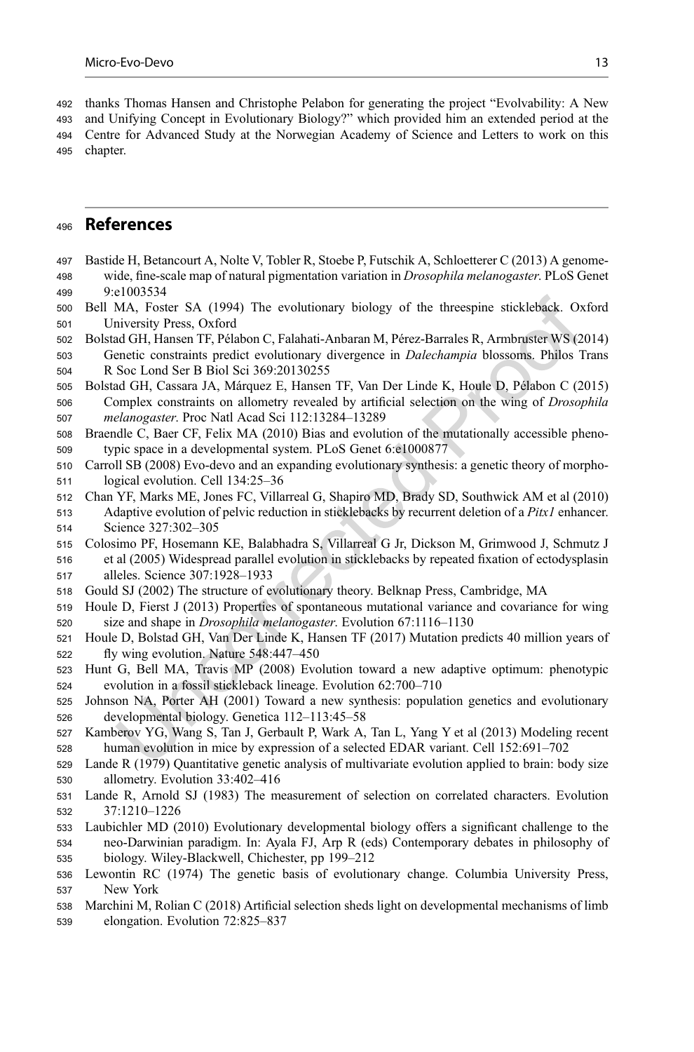- <span id="page-12-0"></span>thanks Thomas Hansen and Christophe Pelabon for generating the project "Evolvability: A New
- and Unifying Concept in Evolutionary Biology?" which provided him an extended period at the Centre for Advanced Study at the Norwegian Academy of Science and Letters to work on this chapter.

#### References

- Bastide H, Betancourt A, Nolte V, Tobler R, Stoebe P, Futschik A, Schloetterer C (2013) A genome- wide, fine-scale map of natural pigmentation variation in Drosophila melanogaster. PLoS Genet 9:e1003534
- Bell MA, Foster SA (1994) The evolutionary biology of the threespine stickleback. Oxford University Press, Oxford
- Bolstad GH, Hansen TF, Pélabon C, Falahati-Anbaran M, Pérez-Barrales R, Armbruster WS (2014)
- Genetic constraints predict evolutionary divergence in Dalechampia blossoms. Philos Trans R Soc Lond Ser B Biol Sci 369:20130255
- Bolstad GH, Cassara JA, Márquez E, Hansen TF, Van Der Linde K, Houle D, Pélabon C (2015) 506 Complex constraints on allometry revealed by artificial selection on the wing of *Drosophila* melanogaster. Proc Natl Acad Sci 112:13284–13289
- Braendle C, Baer CF, Felix MA (2010) Bias and evolution of the mutationally accessible pheno-typic space in a developmental system. PLoS Genet 6:e1000877
- Carroll SB (2008) Evo-devo and an expanding evolutionary synthesis: a genetic theory of morpho-logical evolution. Cell 134:25–36
- Chan YF, Marks ME, Jones FC, Villarreal G, Shapiro MD, Brady SD, Southwick AM et al (2010) 513 Adaptive evolution of pelvic reduction in sticklebacks by recurrent deletion of a Pitx1 enhancer. Science 327:302–305
- Colosimo PF, Hosemann KE, Balabhadra S, Villarreal G Jr, Dickson M, Grimwood J, Schmutz J et al (2005) Widespread parallel evolution in sticklebacks by repeated fixation of ectodysplasin
- alleles. Science 307:1928–1933
- Gould SJ (2002) The structure of evolutionary theory. Belknap Press, Cambridge, MA
- Houle D, Fierst J (2013) Properties of spontaneous mutational variance and covariance for wing size and shape in Drosophila melanogaster. Evolution 67:1116–1130
- Houle D, Bolstad GH, Van Der Linde K, Hansen TF (2017) Mutation predicts 40 million years of fly wing evolution. Nature 548:447–450
- Hunt G, Bell MA, Travis MP (2008) Evolution toward a new adaptive optimum: phenotypic evolution in a fossil stickleback lineage. Evolution 62:700–710
- Johnson NA, Porter AH (2001) Toward a new synthesis: population genetics and evolutionary developmental biology. Genetica 112–113:45–58
- Kamberov YG, Wang S, Tan J, Gerbault P, Wark A, Tan L, Yang Y et al (2013) Modeling recent human evolution in mice by expression of a selected EDAR variant. Cell 152:691–702
- Lande R (1979) Quantitative genetic analysis of multivariate evolution applied to brain: body size allometry. Evolution 33:402–416
- Lande R, Arnold SJ (1983) The measurement of selection on correlated characters. Evolution 37:1210–1226
- Laubichler MD (2010) Evolutionary developmental biology offers a significant challenge to the neo-Darwinian paradigm. In: Ayala FJ, Arp R (eds) Contemporary debates in philosophy of biology. Wiley-Blackwell, Chichester, pp 199–212
- Lewontin RC (1974) The genetic basis of evolutionary change. Columbia University Press, New York
- Marchini M, Rolian C (2018) Artificial selection sheds light on developmental mechanisms of limb
- elongation. Evolution 72:825–837